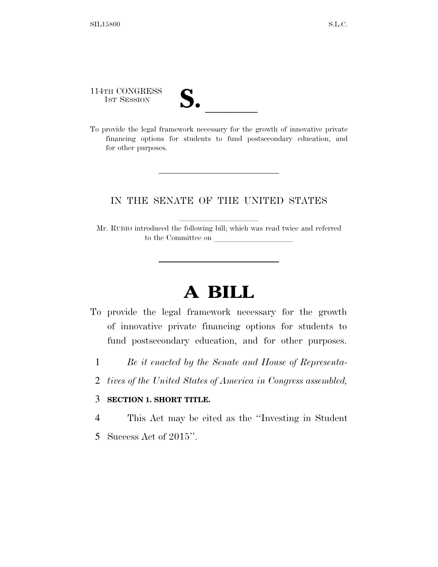114TH CONGRESS 114TH CONGRESS<br>
1ST SESSION<br>
To provide the legal framework necessary for the growth of innovative private

financing options for students to fund postsecondary education, and for other purposes.

### IN THE SENATE OF THE UNITED STATES

Mr. RUBIO introduced the following bill; which was read twice and referred to the Committee on

# **A BILL**

- To provide the legal framework necessary for the growth of innovative private financing options for students to fund postsecondary education, and for other purposes.
	- 1 *Be it enacted by the Senate and House of Representa-*
	- 2 *tives of the United States of America in Congress assembled,*

### 3 **SECTION 1. SHORT TITLE.**

4 This Act may be cited as the ''Investing in Student

5 Success Act of 2015''.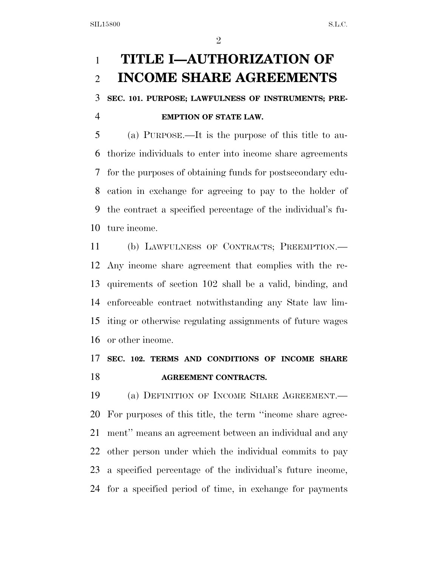## **TITLE I—AUTHORIZATION OF INCOME SHARE AGREEMENTS**

**SEC. 101. PURPOSE; LAWFULNESS OF INSTRUMENTS; PRE-**

### **EMPTION OF STATE LAW.**

 (a) PURPOSE.—It is the purpose of this title to au- thorize individuals to enter into income share agreements for the purposes of obtaining funds for postsecondary edu- cation in exchange for agreeing to pay to the holder of the contract a specified percentage of the individual's fu-ture income.

 (b) LAWFULNESS OF CONTRACTS; PREEMPTION.— Any income share agreement that complies with the re- quirements of section 102 shall be a valid, binding, and enforceable contract notwithstanding any State law lim- iting or otherwise regulating assignments of future wages or other income.

## **SEC. 102. TERMS AND CONDITIONS OF INCOME SHARE AGREEMENT CONTRACTS.**

 (a) DEFINITION OF INCOME SHARE AGREEMENT.— For purposes of this title, the term ''income share agree- ment'' means an agreement between an individual and any other person under which the individual commits to pay a specified percentage of the individual's future income, for a specified period of time, in exchange for payments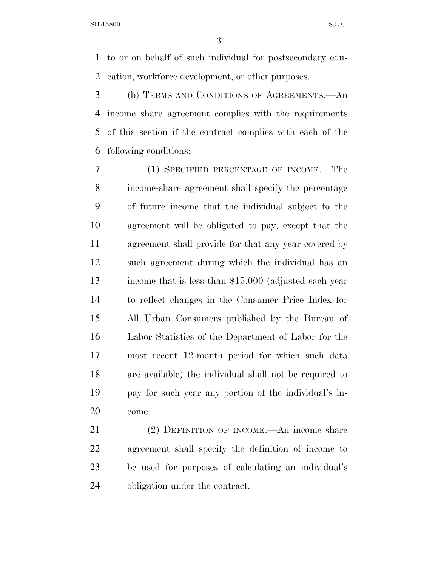to or on behalf of such individual for postsecondary edu-cation, workforce development, or other purposes.

 (b) TERMS AND CONDITIONS OF AGREEMENTS.—An income share agreement complies with the requirements of this section if the contract complies with each of the following conditions:

 (1) SPECIFIED PERCENTAGE OF INCOME.—The income-share agreement shall specify the percentage of future income that the individual subject to the agreement will be obligated to pay, except that the agreement shall provide for that any year covered by such agreement during which the individual has an income that is less than \$15,000 (adjusted each year to reflect changes in the Consumer Price Index for All Urban Consumers published by the Bureau of Labor Statistics of the Department of Labor for the most recent 12-month period for which such data are available) the individual shall not be required to pay for such year any portion of the individual's in-come.

 (2) DEFINITION OF INCOME.—An income share agreement shall specify the definition of income to be used for purposes of calculating an individual's obligation under the contract.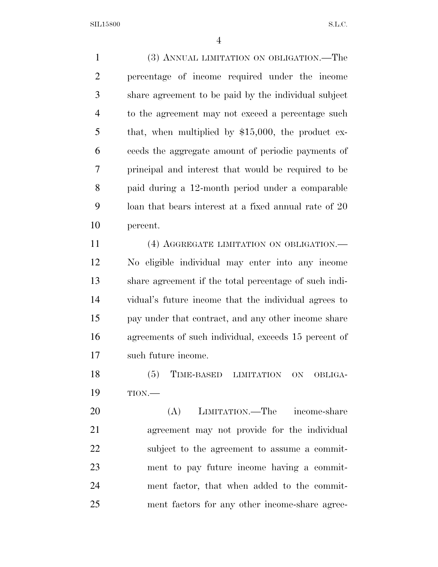(3) ANNUAL LIMITATION ON OBLIGATION.—The percentage of income required under the income share agreement to be paid by the individual subject to the agreement may not exceed a percentage such that, when multiplied by \$15,000, the product ex- ceeds the aggregate amount of periodic payments of principal and interest that would be required to be paid during a 12-month period under a comparable loan that bears interest at a fixed annual rate of 20 percent.

11 (4) AGGREGATE LIMITATION ON OBLIGATION. No eligible individual may enter into any income share agreement if the total percentage of such indi- vidual's future income that the individual agrees to pay under that contract, and any other income share agreements of such individual, exceeds 15 percent of such future income.

 (5) TIME-BASED LIMITATION ON OBLIGA-TION.—

 (A) LIMITATION.—The income-share agreement may not provide for the individual subject to the agreement to assume a commit- ment to pay future income having a commit- ment factor, that when added to the commit-ment factors for any other income-share agree-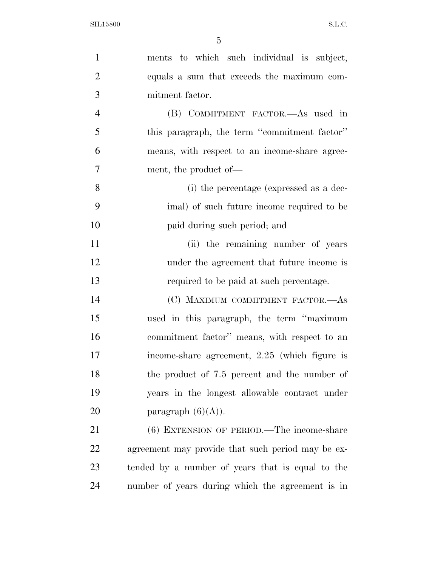| $\mathbf{1}$   | ments to which such individual is subject,        |
|----------------|---------------------------------------------------|
| $\overline{2}$ | equals a sum that exceeds the maximum com-        |
| 3              | mitment factor.                                   |
| $\overline{4}$ | (B) COMMITMENT FACTOR.—As used in                 |
| 5              | this paragraph, the term "commitment factor"      |
| 6              | means, with respect to an income-share agree-     |
| $\overline{7}$ | ment, the product of—                             |
| 8              | (i) the percentage (expressed as a dec-           |
| 9              | imal) of such future income required to be        |
| 10             | paid during such period; and                      |
| 11             | (ii) the remaining number of years                |
| 12             | under the agreement that future income is         |
| 13             | required to be paid at such percentage.           |
| 14             | (C) MAXIMUM COMMITMENT FACTOR.—As                 |
| 15             | used in this paragraph, the term "maximum"        |
| 16             | commitment factor" means, with respect to an      |
| 17             | income-share agreement, $2.25$ (which figure is   |
| 18             | the product of 7.5 percent and the number of      |
| 19             | years in the longest allowable contract under     |
| 20             | paragraph $(6)(A)$ ).                             |
| 21             | $(6)$ EXTENSION OF PERIOD.—The income-share       |
| 22             | agreement may provide that such period may be ex- |
| 23             | tended by a number of years that is equal to the  |
| 24             | number of years during which the agreement is in  |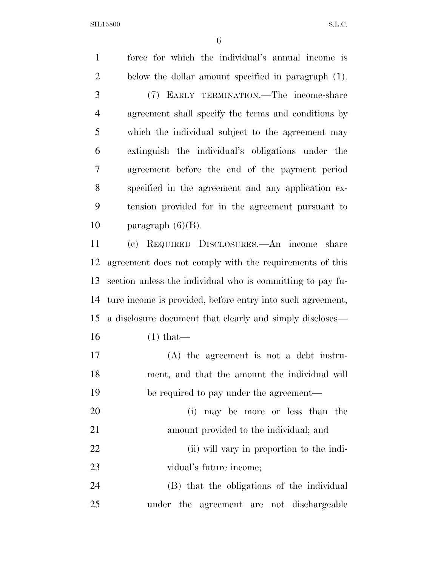force for which the individual's annual income is below the dollar amount specified in paragraph (1). (7) EARLY TERMINATION.—The income-share agreement shall specify the terms and conditions by which the individual subject to the agreement may extinguish the individual's obligations under the agreement before the end of the payment period specified in the agreement and any application ex- tension provided for in the agreement pursuant to 10 paragraph  $(6)(B)$ . (c) REQUIRED DISCLOSURES.—An income share agreement does not comply with the requirements of this section unless the individual who is committing to pay fu- ture income is provided, before entry into such agreement, a disclosure document that clearly and simply discloses— (1) that— (A) the agreement is not a debt instru- ment, and that the amount the individual will be required to pay under the agreement— (i) may be more or less than the amount provided to the individual; and (ii) will vary in proportion to the indi- vidual's future income; (B) that the obligations of the individual under the agreement are not dischargeable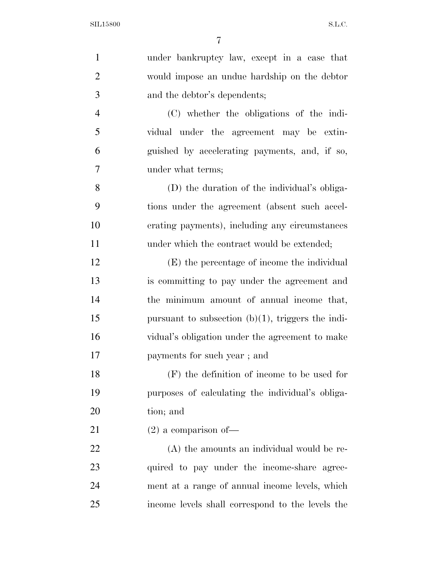| $\mathbf{1}$   | under bankruptcy law, except in a case that          |
|----------------|------------------------------------------------------|
| $\overline{2}$ | would impose an undue hardship on the debtor         |
| 3              | and the debtor's dependents;                         |
| $\overline{4}$ | (C) whether the obligations of the indi-             |
| 5              | vidual under the agreement may be extin-             |
| 6              | guished by accelerating payments, and, if so,        |
| 7              | under what terms;                                    |
| 8              | (D) the duration of the individual's obliga-         |
| 9              | tions under the agreement (absent such accel-        |
| 10             | erating payments), including any circumstances       |
| 11             | under which the contract would be extended;          |
| 12             | (E) the percentage of income the individual          |
| 13             | is committing to pay under the agreement and         |
| 14             | the minimum amount of annual income that,            |
| 15             | pursuant to subsection $(b)(1)$ , triggers the indi- |
| 16             | vidual's obligation under the agreement to make      |
| 17             | payments for such year; and                          |
| 18             | $(F)$ the definition of income to be used for        |
| 19             | purposes of calculating the individual's obliga-     |
| 20             | tion; and                                            |
| 21             | $(2)$ a comparison of-                               |
| 22             | (A) the amounts an individual would be re-           |
| 23             | quired to pay under the income-share agree-          |
| 24             | ment at a range of annual income levels, which       |
| 25             | income levels shall correspond to the levels the     |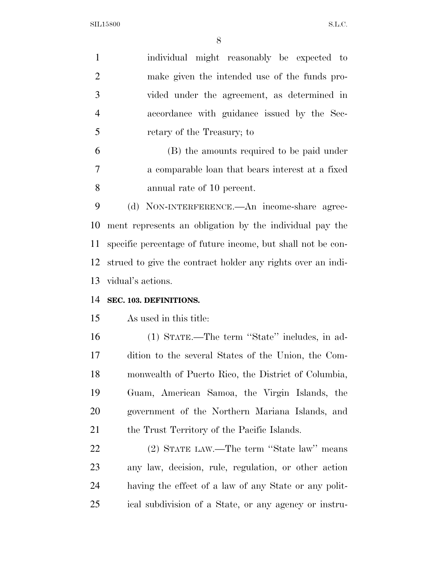SIL15800 S.L.C.

| $\mathbf{1}$   | individual might reasonably be expected to                  |
|----------------|-------------------------------------------------------------|
| $\overline{2}$ | make given the intended use of the funds pro-               |
| 3              | vided under the agreement, as determined in                 |
| $\overline{4}$ | accordance with guidance issued by the Sec-                 |
| 5              | retary of the Treasury; to                                  |
| 6              | (B) the amounts required to be paid under                   |
| 7              | a comparable loan that bears interest at a fixed            |
| 8              | annual rate of 10 percent.                                  |
| 9              | (d) NON-INTERFERENCE.—An income-share agree-                |
| 10             | ment represents an obligation by the individual pay the     |
| 11             | specific percentage of future income, but shall not be con- |
| 12             | strued to give the contract holder any rights over an indi- |
| 13             | vidual's actions.                                           |
| 14             | SEC. 103. DEFINITIONS.                                      |
| 15             | As used in this title:                                      |
| 16             | (1) STATE.—The term "State" includes, in ad-                |
| 17             | dition to the several States of the Union, the Com-         |
| 18             | monwealth of Puerto Rico, the District of Columbia,         |
| 19             | Guam, American Samoa, the Virgin Islands, the               |
| 20             | government of the Northern Mariana Islands, and             |
| 21             | the Trust Territory of the Pacific Islands.                 |
| 22             | (2) STATE LAW.—The term "State law" means                   |
| 23             | any law, decision, rule, regulation, or other action        |
| 24             | having the effect of a law of any State or any polit-       |
| 25             | ical subdivision of a State, or any agency or instru-       |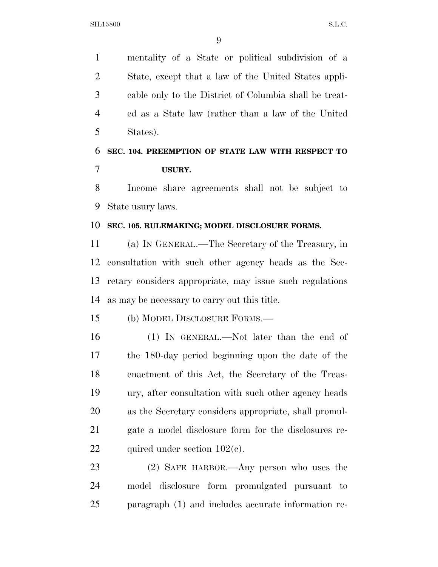mentality of a State or political subdivision of a State, except that a law of the United States appli- cable only to the District of Columbia shall be treat- ed as a State law (rather than a law of the United States).

## **SEC. 104. PREEMPTION OF STATE LAW WITH RESPECT TO USURY.**

 Income share agreements shall not be subject to State usury laws.

#### **SEC. 105. RULEMAKING; MODEL DISCLOSURE FORMS.**

 (a) IN GENERAL.—The Secretary of the Treasury, in consultation with such other agency heads as the Sec- retary considers appropriate, may issue such regulations as may be necessary to carry out this title.

(b) MODEL DISCLOSURE FORMS.—

 (1) IN GENERAL.—Not later than the end of the 180-day period beginning upon the date of the enactment of this Act, the Secretary of the Treas- ury, after consultation with such other agency heads as the Secretary considers appropriate, shall promul- gate a model disclosure form for the disclosures re-22 quired under section  $102(c)$ .

 (2) SAFE HARBOR.—Any person who uses the model disclosure form promulgated pursuant to paragraph (1) and includes accurate information re-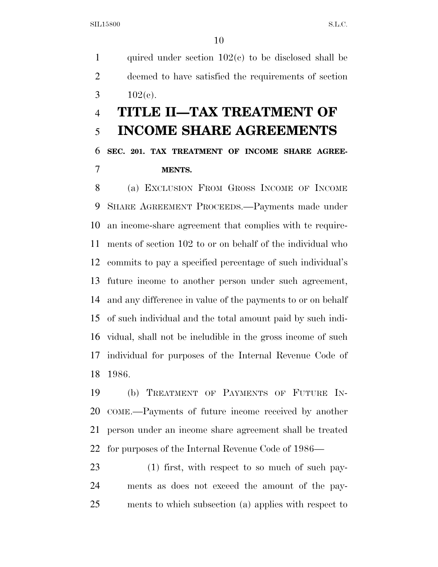1 quired under section  $102(c)$  to be disclosed shall be deemed to have satisfied the requirements of section 3  $102(e)$ .

# **TITLE II—TAX TREATMENT OF INCOME SHARE AGREEMENTS**

 **SEC. 201. TAX TREATMENT OF INCOME SHARE AGREE-MENTS.** 

 (a) EXCLUSION FROM GROSS INCOME OF INCOME SHARE AGREEMENT PROCEEDS.—Payments made under an income-share agreement that complies with te require- ments of section 102 to or on behalf of the individual who commits to pay a specified percentage of such individual's future income to another person under such agreement, and any difference in value of the payments to or on behalf of such individual and the total amount paid by such indi- vidual, shall not be includible in the gross income of such individual for purposes of the Internal Revenue Code of 1986.

 (b) TREATMENT OF PAYMENTS OF FUTURE IN- COME.—Payments of future income received by another person under an income share agreement shall be treated for purposes of the Internal Revenue Code of 1986—

 (1) first, with respect to so much of such pay- ments as does not exceed the amount of the pay-ments to which subsection (a) applies with respect to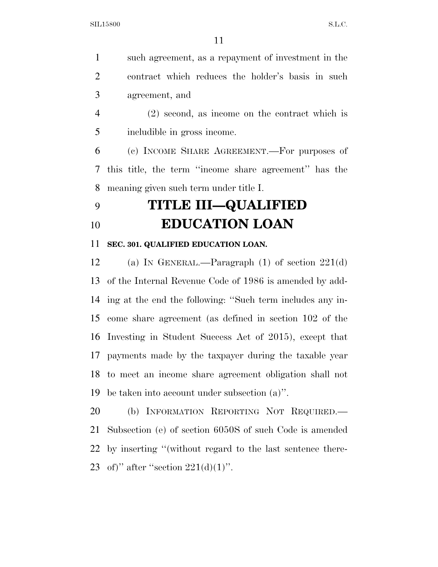such agreement, as a repayment of investment in the contract which reduces the holder's basis in such agreement, and

 (2) second, as income on the contract which is includible in gross income.

 (c) INCOME SHARE AGREEMENT.—For purposes of this title, the term ''income share agreement'' has the meaning given such term under title I.

## **TITLE III—QUALIFIED EDUCATION LOAN**

#### **SEC. 301. QUALIFIED EDUCATION LOAN.**

 (a) IN GENERAL.—Paragraph (1) of section 221(d) of the Internal Revenue Code of 1986 is amended by add- ing at the end the following: ''Such term includes any in- come share agreement (as defined in section 102 of the Investing in Student Success Act of 2015), except that payments made by the taxpayer during the taxable year to meet an income share agreement obligation shall not be taken into account under subsection (a)''.

 (b) INFORMATION REPORTING NOT REQUIRED.— Subsection (e) of section 6050S of such Code is amended by inserting ''(without regard to the last sentence there-23 of)" after "section  $221(d)(1)$ ".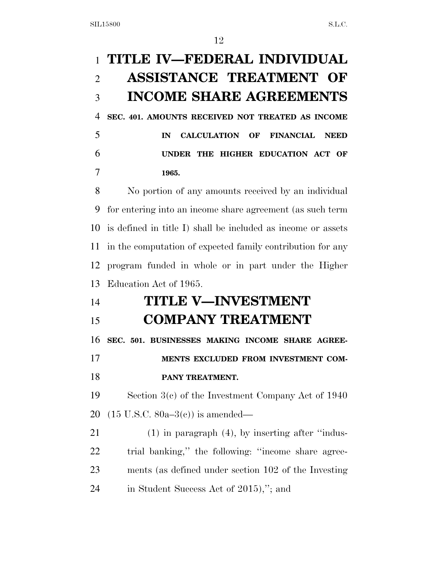# **TITLE IV—FEDERAL INDIVIDUAL ASSISTANCE TREATMENT OF INCOME SHARE AGREEMENTS SEC. 401. AMOUNTS RECEIVED NOT TREATED AS INCOME IN CALCULATION OF FINANCIAL NEED UNDER THE HIGHER EDUCATION ACT OF 1965.**  No portion of any amounts received by an individual for entering into an income share agreement (as such term is defined in title I) shall be included as income or assets in the computation of expected family contribution for any program funded in whole or in part under the Higher Education Act of 1965. **TITLE V—INVESTMENT COMPANY TREATMENT SEC. 501. BUSINESSES MAKING INCOME SHARE AGREE- MENTS EXCLUDED FROM INVESTMENT COM- PANY TREATMENT.**  Section 3(c) of the Investment Company Act of 1940 (15 U.S.C. 80a–3(c)) is amended— (1) in paragraph (4), by inserting after ''indus- trial banking,'' the following: ''income share agree- ments (as defined under section 102 of the Investing 24 in Student Success Act of 2015),"; and